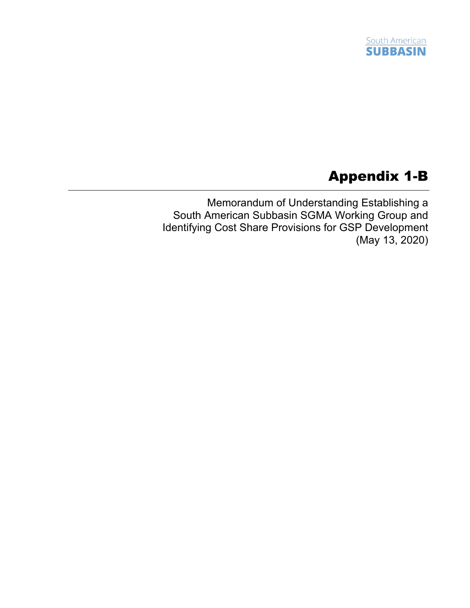

# Appendix 1-B

Memorandum of Understanding Establishing a South American Subbasin SGMA Working Group and Identifying Cost Share Provisions for GSP Development (May 13, 2020)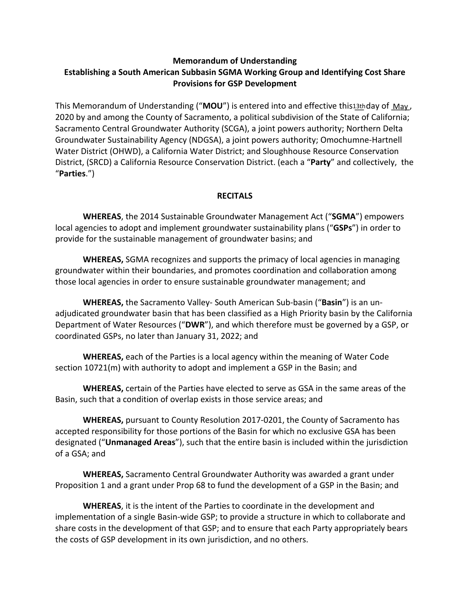#### **Memorandum of Understanding Establishing a South American Subbasin SGMA Working Group and Identifying Cost Share Provisions for GSP Development**

This Memorandum of Understanding ("MOU") is entered into and effective this<sup>13th</sup>day of May, 2020 by and among the County of Sacramento, a political subdivision of the State of California; Sacramento Central Groundwater Authority (SCGA), a joint powers authority; Northern Delta Groundwater Sustainability Agency (NDGSA), a joint powers authority; Omochumne-Hartnell Water District (OHWD), a California Water District; and Sloughhouse Resource Conservation District, (SRCD) a California Resource Conservation District. (each a "**Party**" and collectively, the "**Parties**.")

#### **RECITALS**

**WHEREAS**, the 2014 Sustainable Groundwater Management Act ("**SGMA**") empowers local agencies to adopt and implement groundwater sustainability plans ("**GSPs**") in order to provide for the sustainable management of groundwater basins; and

**WHEREAS,** SGMA recognizes and supports the primacy of local agencies in managing groundwater within their boundaries, and promotes coordination and collaboration among those local agencies in order to ensure sustainable groundwater management; and

**WHEREAS,** the Sacramento Valley- South American Sub-basin ("**Basin**") is an unadjudicated groundwater basin that has been classified as a High Priority basin by the California Department of Water Resources ("**DWR**"), and which therefore must be governed by a GSP, or coordinated GSPs, no later than January 31, 2022; and

**WHEREAS,** each of the Parties is a local agency within the meaning of Water Code section 10721(m) with authority to adopt and implement a GSP in the Basin; and

**WHEREAS,** certain of the Parties have elected to serve as GSA in the same areas of the Basin, such that a condition of overlap exists in those service areas; and

**WHEREAS,** pursuant to County Resolution 2017-0201, the County of Sacramento has accepted responsibility for those portions of the Basin for which no exclusive GSA has been designated ("**Unmanaged Areas**"), such that the entire basin is included within the jurisdiction of a GSA; and

**WHEREAS,** Sacramento Central Groundwater Authority was awarded a grant under Proposition 1 and a grant under Prop 68 to fund the development of a GSP in the Basin; and

**WHEREAS**, it is the intent of the Parties to coordinate in the development and implementation of a single Basin-wide GSP; to provide a structure in which to collaborate and share costs in the development of that GSP; and to ensure that each Party appropriately bears the costs of GSP development in its own jurisdiction, and no others.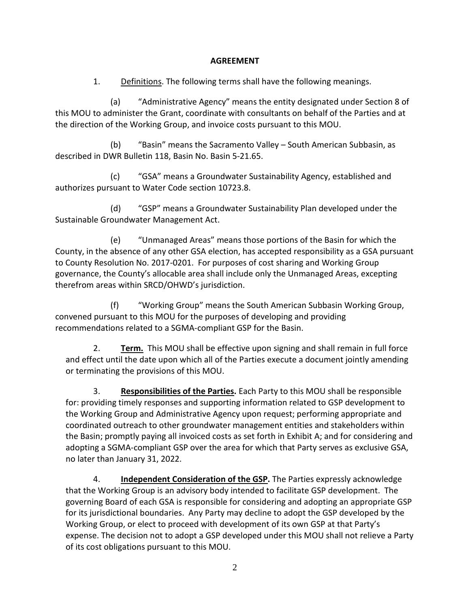#### **AGREEMENT**

1. Definitions. The following terms shall have the following meanings.

(a) "Administrative Agency" means the entity designated under Section [8](#page-3-0) of this MOU to administer the Grant, coordinate with consultants on behalf of the Parties and at the direction of the Working Group, and invoice costs pursuant to this MOU.

(b) "Basin" means the Sacramento Valley – South American Subbasin, as described in DWR Bulletin 118, Basin No. Basin 5-21.65.

(c) "GSA" means a Groundwater Sustainability Agency, established and authorizes pursuant to Water Code section 10723.8.

(d) "GSP" means a Groundwater Sustainability Plan developed under the Sustainable Groundwater Management Act.

(e) "Unmanaged Areas" means those portions of the Basin for which the County, in the absence of any other GSA election, has accepted responsibility as a GSA pursuant to County Resolution No. 2017-0201. For purposes of cost sharing and Working Group governance, the County's allocable area shall include only the Unmanaged Areas, excepting therefrom areas within SRCD/OHWD's jurisdiction.

(f) "Working Group" means the South American Subbasin Working Group, convened pursuant to this MOU for the purposes of developing and providing recommendations related to a SGMA-compliant GSP for the Basin.

2. **Term.**This MOU shall be effective upon signing and shall remain in full force and effect until the date upon which all of the Parties execute a document jointly amending or terminating the provisions of this MOU.

3. **Responsibilities of the Parties.** Each Party to this MOU shall be responsible for: providing timely responses and supporting information related to GSP development to the Working Group and Administrative Agency upon request; performing appropriate and coordinated outreach to other groundwater management entities and stakeholders within the Basin; promptly paying all invoiced costs as set forth in Exhibit A; and for considering and adopting a SGMA-compliant GSP over the area for which that Party serves as exclusive GSA, no later than January 31, 2022.

4. **Independent Consideration of the GSP.** The Parties expressly acknowledge that the Working Group is an advisory body intended to facilitate GSP development. The governing Board of each GSA is responsible for considering and adopting an appropriate GSP for its jurisdictional boundaries. Any Party may decline to adopt the GSP developed by the Working Group, or elect to proceed with development of its own GSP at that Party's expense. The decision not to adopt a GSP developed under this MOU shall not relieve a Party of its cost obligations pursuant to this MOU.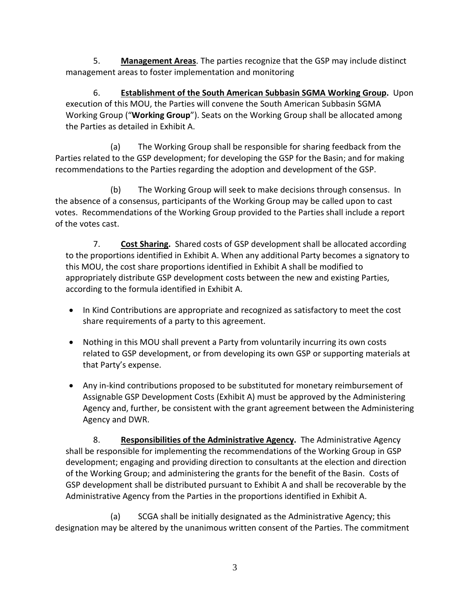5. **Management Areas**. The parties recognize that the GSP may include distinct management areas to foster implementation and monitoring

6. **Establishment of the South American Subbasin SGMA Working Group.** Upon execution of this MOU, the Parties will convene the South American Subbasin SGMA Working Group ("**Working Group**"). Seats on the Working Group shall be allocated among the Parties as detailed in Exhibit A.

(a) The Working Group shall be responsible for sharing feedback from the Parties related to the GSP development; for developing the GSP for the Basin; and for making recommendations to the Parties regarding the adoption and development of the GSP.

(b) The Working Group will seek to make decisions through consensus. In the absence of a consensus, participants of the Working Group may be called upon to cast votes. Recommendations of the Working Group provided to the Parties shall include a report of the votes cast.

7. **Cost Sharing.** Shared costs of GSP development shall be allocated according to the proportions identified in Exhibit A. When any additional Party becomes a signatory to this MOU, the cost share proportions identified in Exhibit A shall be modified to appropriately distribute GSP development costs between the new and existing Parties, according to the formula identified in Exhibit A.

- In Kind Contributions are appropriate and recognized as satisfactory to meet the cost share requirements of a party to this agreement.
- Nothing in this MOU shall prevent a Party from voluntarily incurring its own costs related to GSP development, or from developing its own GSP or supporting materials at that Party's expense.
- Any in-kind contributions proposed to be substituted for monetary reimbursement of Assignable GSP Development Costs (Exhibit A) must be approved by the Administering Agency and, further, be consistent with the grant agreement between the Administering Agency and DWR.

<span id="page-3-0"></span>8. **Responsibilities of the Administrative Agency.** The Administrative Agency shall be responsible for implementing the recommendations of the Working Group in GSP development; engaging and providing direction to consultants at the election and direction of the Working Group; and administering the grants for the benefit of the Basin. Costs of GSP development shall be distributed pursuant to Exhibit A and shall be recoverable by the Administrative Agency from the Parties in the proportions identified in Exhibit A.

(a) SCGA shall be initially designated as the Administrative Agency; this designation may be altered by the unanimous written consent of the Parties. The commitment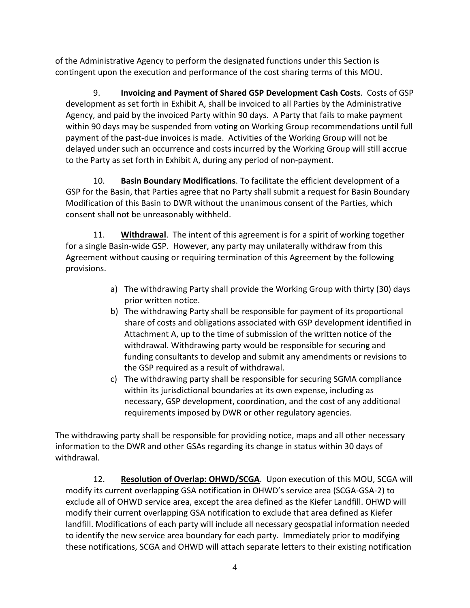of the Administrative Agency to perform the designated functions under this Section is contingent upon the execution and performance of the cost sharing terms of this MOU.

9. **Invoicing and Payment of Shared GSP Development Cash Costs**. Costs of GSP development as set forth in Exhibit A, shall be invoiced to all Parties by the Administrative Agency, and paid by the invoiced Party within 90 days. A Party that fails to make payment within 90 days may be suspended from voting on Working Group recommendations until full payment of the past-due invoices is made. Activities of the Working Group will not be delayed under such an occurrence and costs incurred by the Working Group will still accrue to the Party as set forth in Exhibit A, during any period of non-payment.

10. **Basin Boundary Modifications**. To facilitate the efficient development of a GSP for the Basin, that Parties agree that no Party shall submit a request for Basin Boundary Modification of this Basin to DWR without the unanimous consent of the Parties, which consent shall not be unreasonably withheld.

11. **Withdrawal**. The intent of this agreement is for a spirit of working together for a single Basin-wide GSP. However, any party may unilaterally withdraw from this Agreement without causing or requiring termination of this Agreement by the following provisions.

- a) The withdrawing Party shall provide the Working Group with thirty (30) days prior written notice.
- b) The withdrawing Party shall be responsible for payment of its proportional share of costs and obligations associated with GSP development identified in Attachment A, up to the time of submission of the written notice of the withdrawal. Withdrawing party would be responsible for securing and funding consultants to develop and submit any amendments or revisions to the GSP required as a result of withdrawal.
- c) The withdrawing party shall be responsible for securing SGMA compliance within its jurisdictional boundaries at its own expense, including as necessary, GSP development, coordination, and the cost of any additional requirements imposed by DWR or other regulatory agencies.

The withdrawing party shall be responsible for providing notice, maps and all other necessary information to the DWR and other GSAs regarding its change in status within 30 days of withdrawal.

12. **Resolution of Overlap: OHWD/SCGA**. Upon execution of this MOU, SCGA will modify its current overlapping GSA notification in OHWD's service area (SCGA-GSA-2) to exclude all of OHWD service area, except the area defined as the Kiefer Landfill. OHWD will modify their current overlapping GSA notification to exclude that area defined as Kiefer landfill. Modifications of each party will include all necessary geospatial information needed to identify the new service area boundary for each party. Immediately prior to modifying these notifications, SCGA and OHWD will attach separate letters to their existing notification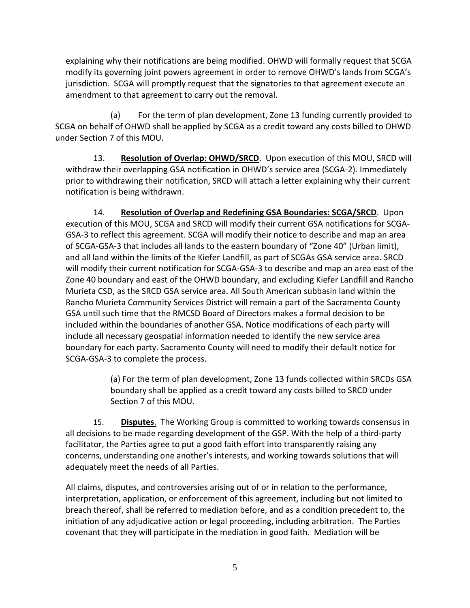explaining why their notifications are being modified. OHWD will formally request that SCGA modify its governing joint powers agreement in order to remove OHWD's lands from SCGA's jurisdiction. SCGA will promptly request that the signatories to that agreement execute an amendment to that agreement to carry out the removal.

(a) For the term of plan development, Zone 13 funding currently provided to SCGA on behalf of OHWD shall be applied by SCGA as a credit toward any costs billed to OHWD under Section 7 of this MOU.

13. **Resolution of Overlap: OHWD/SRCD**. Upon execution of this MOU, SRCD will withdraw their overlapping GSA notification in OHWD's service area (SCGA-2). Immediately prior to withdrawing their notification, SRCD will attach a letter explaining why their current notification is being withdrawn.

14. **Resolution of Overlap and Redefining GSA Boundaries: SCGA/SRCD**. Upon execution of this MOU, SCGA and SRCD will modify their current GSA notifications for SCGA-GSA-3 to reflect this agreement. SCGA will modify their notice to describe and map an area of SCGA-GSA-3 that includes all lands to the eastern boundary of "Zone 40" (Urban limit), and all land within the limits of the Kiefer Landfill, as part of SCGAs GSA service area. SRCD will modify their current notification for SCGA-GSA-3 to describe and map an area east of the Zone 40 boundary and east of the OHWD boundary, and excluding Kiefer Landfill and Rancho Murieta CSD, as the SRCD GSA service area. All South American subbasin land within the Rancho Murieta Community Services District will remain a part of the Sacramento County GSA until such time that the RMCSD Board of Directors makes a formal decision to be included within the boundaries of another GSA. Notice modifications of each party will include all necessary geospatial information needed to identify the new service area boundary for each party. Sacramento County will need to modify their default notice for SCGA-GSA-3 to complete the process.

> (a) For the term of plan development, Zone 13 funds collected within SRCDs GSA boundary shall be applied as a credit toward any costs billed to SRCD under Section 7 of this MOU.

15. **Disputes**. The Working Group is committed to working towards consensus in all decisions to be made regarding development of the GSP. With the help of a third-party facilitator, the Parties agree to put a good faith effort into transparently raising any concerns, understanding one another's interests, and working towards solutions that will adequately meet the needs of all Parties.

All claims, disputes, and controversies arising out of or in relation to the performance, interpretation, application, or enforcement of this agreement, including but not limited to breach thereof, shall be referred to mediation before, and as a condition precedent to, the initiation of any adjudicative action or legal proceeding, including arbitration. The Parties covenant that they will participate in the mediation in good faith. Mediation will be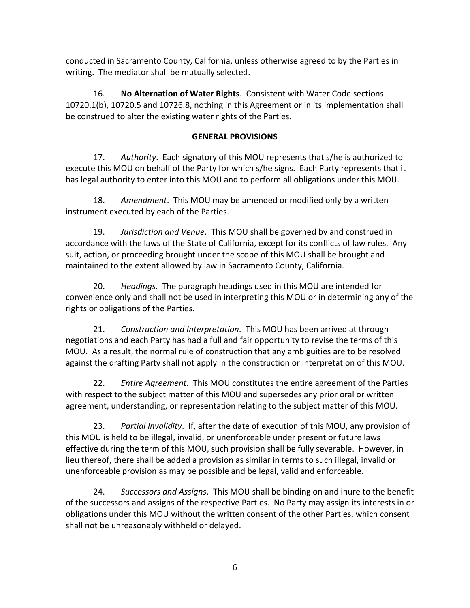conducted in Sacramento County, California, unless otherwise agreed to by the Parties in writing. The mediator shall be mutually selected.

16. **No Alternation of Water Rights**. Consistent with Water Code sections 10720.1(b), 10720.5 and 10726.8, nothing in this Agreement or in its implementation shall be construed to alter the existing water rights of the Parties.

### **GENERAL PROVISIONS**

17. *Authority*. Each signatory of this MOU represents that s/he is authorized to execute this MOU on behalf of the Party for which s/he signs. Each Party represents that it has legal authority to enter into this MOU and to perform all obligations under this MOU.

18. *Amendment*. This MOU may be amended or modified only by a written instrument executed by each of the Parties.

19. *Jurisdiction and Venue*. This MOU shall be governed by and construed in accordance with the laws of the State of California, except for its conflicts of law rules. Any suit, action, or proceeding brought under the scope of this MOU shall be brought and maintained to the extent allowed by law in Sacramento County, California.

20. *Headings*. The paragraph headings used in this MOU are intended for convenience only and shall not be used in interpreting this MOU or in determining any of the rights or obligations of the Parties.

21. *Construction and Interpretation*. This MOU has been arrived at through negotiations and each Party has had a full and fair opportunity to revise the terms of this MOU. As a result, the normal rule of construction that any ambiguities are to be resolved against the drafting Party shall not apply in the construction or interpretation of this MOU.

22. *Entire Agreement*. This MOU constitutes the entire agreement of the Parties with respect to the subject matter of this MOU and supersedes any prior oral or written agreement, understanding, or representation relating to the subject matter of this MOU.

23. *Partial Invalidity*. If, after the date of execution of this MOU, any provision of this MOU is held to be illegal, invalid, or unenforceable under present or future laws effective during the term of this MOU, such provision shall be fully severable. However, in lieu thereof, there shall be added a provision as similar in terms to such illegal, invalid or unenforceable provision as may be possible and be legal, valid and enforceable.

24. *Successors and Assigns*. This MOU shall be binding on and inure to the benefit of the successors and assigns of the respective Parties. No Party may assign its interests in or obligations under this MOU without the written consent of the other Parties, which consent shall not be unreasonably withheld or delayed.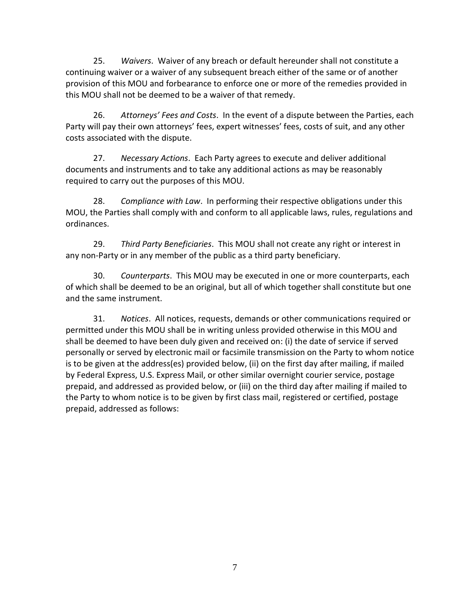25. *Waivers*. Waiver of any breach or default hereunder shall not constitute a continuing waiver or a waiver of any subsequent breach either of the same or of another provision of this MOU and forbearance to enforce one or more of the remedies provided in this MOU shall not be deemed to be a waiver of that remedy.

26. *Attorneys' Fees and Costs*. In the event of a dispute between the Parties, each Party will pay their own attorneys' fees, expert witnesses' fees, costs of suit, and any other costs associated with the dispute.

27. *Necessary Actions*. Each Party agrees to execute and deliver additional documents and instruments and to take any additional actions as may be reasonably required to carry out the purposes of this MOU.

28. *Compliance with Law*. In performing their respective obligations under this MOU, the Parties shall comply with and conform to all applicable laws, rules, regulations and ordinances.

29. *Third Party Beneficiaries*. This MOU shall not create any right or interest in any non-Party or in any member of the public as a third party beneficiary.

30. *Counterparts*. This MOU may be executed in one or more counterparts, each of which shall be deemed to be an original, but all of which together shall constitute but one and the same instrument.

31. *Notices*. All notices, requests, demands or other communications required or permitted under this MOU shall be in writing unless provided otherwise in this MOU and shall be deemed to have been duly given and received on: (i) the date of service if served personally or served by electronic mail or facsimile transmission on the Party to whom notice is to be given at the address(es) provided below, (ii) on the first day after mailing, if mailed by Federal Express, U.S. Express Mail, or other similar overnight courier service, postage prepaid, and addressed as provided below, or (iii) on the third day after mailing if mailed to the Party to whom notice is to be given by first class mail, registered or certified, postage prepaid, addressed as follows: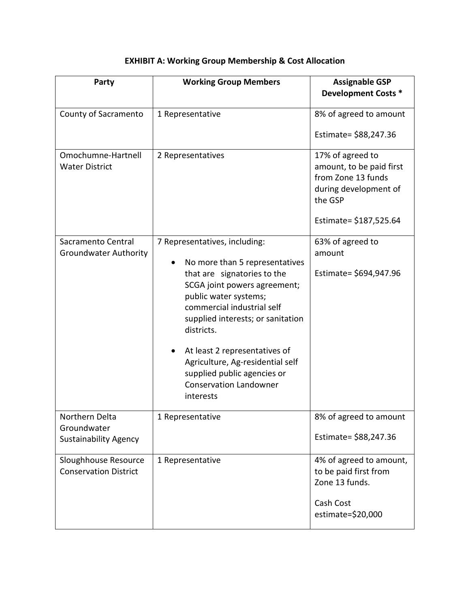| Party                                                         | <b>Working Group Members</b>                                                                                                                                                                                                                                                                                                                              | <b>Assignable GSP</b>                                                                                                            |
|---------------------------------------------------------------|-----------------------------------------------------------------------------------------------------------------------------------------------------------------------------------------------------------------------------------------------------------------------------------------------------------------------------------------------------------|----------------------------------------------------------------------------------------------------------------------------------|
|                                                               |                                                                                                                                                                                                                                                                                                                                                           | Development Costs *                                                                                                              |
| County of Sacramento                                          | 1 Representative                                                                                                                                                                                                                                                                                                                                          | 8% of agreed to amount                                                                                                           |
|                                                               |                                                                                                                                                                                                                                                                                                                                                           | Estimate= \$88,247.36                                                                                                            |
| Omochumne-Hartnell<br><b>Water District</b>                   | 2 Representatives                                                                                                                                                                                                                                                                                                                                         | 17% of agreed to<br>amount, to be paid first<br>from Zone 13 funds<br>during development of<br>the GSP<br>Estimate= \$187,525.64 |
| Sacramento Central<br><b>Groundwater Authority</b>            | 7 Representatives, including:<br>No more than 5 representatives<br>that are signatories to the<br>SCGA joint powers agreement;<br>public water systems;<br>commercial industrial self<br>supplied interests; or sanitation<br>districts.<br>At least 2 representatives of<br>$\bullet$<br>Agriculture, Ag-residential self<br>supplied public agencies or | 63% of agreed to<br>amount<br>Estimate= \$694,947.96                                                                             |
|                                                               | <b>Conservation Landowner</b><br>interests                                                                                                                                                                                                                                                                                                                |                                                                                                                                  |
| Northern Delta<br>Groundwater<br><b>Sustainability Agency</b> | 1 Representative                                                                                                                                                                                                                                                                                                                                          | 8% of agreed to amount<br>Estimate= \$88,247.36                                                                                  |
| Sloughhouse Resource<br><b>Conservation District</b>          | 1 Representative                                                                                                                                                                                                                                                                                                                                          | 4% of agreed to amount,<br>to be paid first from<br>Zone 13 funds.<br>Cash Cost<br>estimate=\$20,000                             |

## **EXHIBIT A: Working Group Membership & Cost Allocation**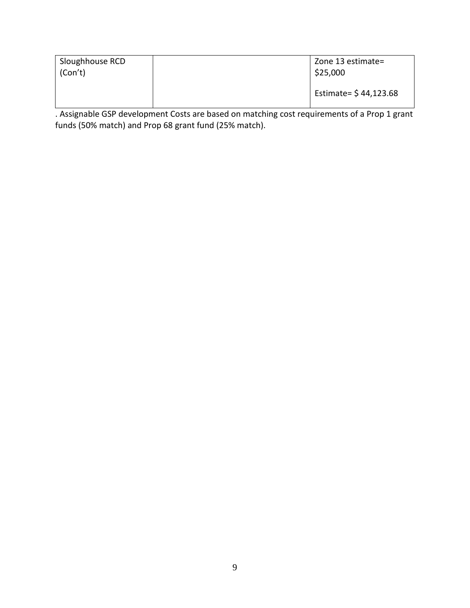| Sloughhouse RCD<br>(Con't) | Zone 13 estimate=<br>\$25,000 |
|----------------------------|-------------------------------|
|                            | Estimate= $$44,123.68$        |

. Assignable GSP development Costs are based on matching cost requirements of a Prop 1 grant funds (50% match) and Prop 68 grant fund (25% match).